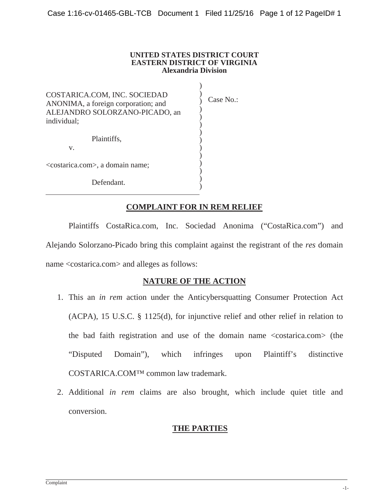#### **UNITED STATES DISTRICT COURT EASTERN DISTRICT OF VIRGINIA Alexandria Division**

) )  $\overline{\mathcal{L}}$ ) ) ) ) ) ) ) ) ) ) )

COSTARICA.COM, INC. SOCIEDAD ANONIMA, a foreign corporation; and ALEJANDRO SOLORZANO-PICADO, an individual;

Plaintiffs,

v.

<costarica.com>, a domain name;

Defendant.

Case No.:

# **COMPLAINT FOR IN REM RELIEF**

Plaintiffs CostaRica.com, Inc. Sociedad Anonima ("CostaRica.com") and Alejando Solorzano-Picado bring this complaint against the registrant of the *res* domain name <costarica.com> and alleges as follows:

### **NATURE OF THE ACTION**

- 1. This an *in rem* action under the Anticybersquatting Consumer Protection Act (ACPA), 15 U.S.C. § 1125(d), for injunctive relief and other relief in relation to the bad faith registration and use of the domain name <costarica.com> (the "Disputed Domain"), which infringes upon Plaintiff's distinctive COSTARICA.COM™ common law trademark.
- 2. Additional *in rem* claims are also brought, which include quiet title and conversion.

## **THE PARTIES**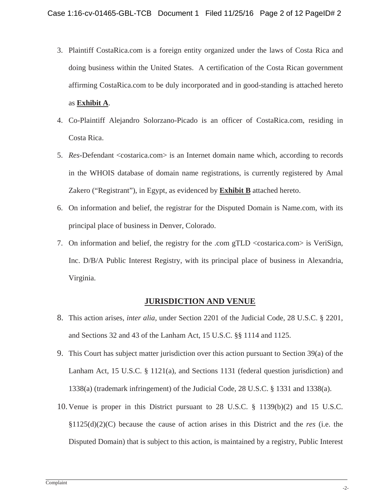- 3. Plaintiff CostaRica.com is a foreign entity organized under the laws of Costa Rica and doing business within the United States. A certification of the Costa Rican government affirming CostaRica.com to be duly incorporated and in good-standing is attached hereto as **Exhibit A**.
- 4. Co-Plaintiff Alejandro Solorzano-Picado is an officer of CostaRica.com, residing in Costa Rica.
- 5. *Res*-Defendant <costarica.com> is an Internet domain name which, according to records in the WHOIS database of domain name registrations, is currently registered by Amal Zakero ("Registrant"), in Egypt, as evidenced by **Exhibit B** attached hereto.
- 6. On information and belief, the registrar for the Disputed Domain is Name.com, with its principal place of business in Denver, Colorado.
- 7. On information and belief, the registry for the .com gTLD <costarica.com> is VeriSign, Inc. D/B/A Public Interest Registry, with its principal place of business in Alexandria, Virginia.

## **JURISDICTION AND VENUE**

- 8. This action arises, *inter alia,* under Section 2201 of the Judicial Code, 28 U.S.C. § 2201, and Sections 32 and 43 of the Lanham Act, 15 U.S.C. §§ 1114 and 1125.
- 9. This Court has subject matter jurisdiction over this action pursuant to Section 39(a) of the Lanham Act, 15 U.S.C. § 1121(a), and Sections 1131 (federal question jurisdiction) and 1338(a) (trademark infringement) of the Judicial Code, 28 U.S.C. § 1331 and 1338(a).
- 10.Venue is proper in this District pursuant to 28 U.S.C. § 1139(b)(2) and 15 U.S.C. §1125(d)(2)(C) because the cause of action arises in this District and the *res* (i.e. the Disputed Domain) that is subject to this action, is maintained by a registry, Public Interest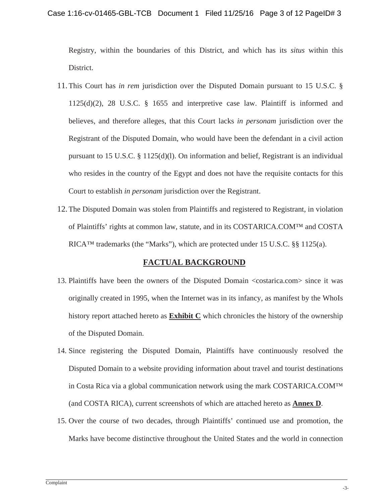Registry, within the boundaries of this District, and which has its *situs* within this District.

- 11.This Court has *in rem* jurisdiction over the Disputed Domain pursuant to 15 U.S.C. § 1125(d)(2), 28 U.S.C. § 1655 and interpretive case law. Plaintiff is informed and believes, and therefore alleges, that this Court lacks *in personam* jurisdiction over the Registrant of the Disputed Domain, who would have been the defendant in a civil action pursuant to 15 U.S.C. § 1125(d)(l). On information and belief, Registrant is an individual who resides in the country of the Egypt and does not have the requisite contacts for this Court to establish *in personam* jurisdiction over the Registrant.
- 12.The Disputed Domain was stolen from Plaintiffs and registered to Registrant, in violation of Plaintiffs' rights at common law, statute, and in its COSTARICA.COM™ and COSTA RICA™ trademarks (the "Marks"), which are protected under 15 U.S.C. §§ 1125(a).

## **FACTUAL BACKGROUND**

- 13. Plaintiffs have been the owners of the Disputed Domain <costarica.com> since it was originally created in 1995, when the Internet was in its infancy, as manifest by the WhoIs history report attached hereto as **Exhibit C** which chronicles the history of the ownership of the Disputed Domain.
- 14. Since registering the Disputed Domain, Plaintiffs have continuously resolved the Disputed Domain to a website providing information about travel and tourist destinations in Costa Rica via a global communication network using the mark COSTARICA.COM™ (and COSTA RICA), current screenshots of which are attached hereto as **Annex D**.
- 15. Over the course of two decades, through Plaintiffs' continued use and promotion, the Marks have become distinctive throughout the United States and the world in connection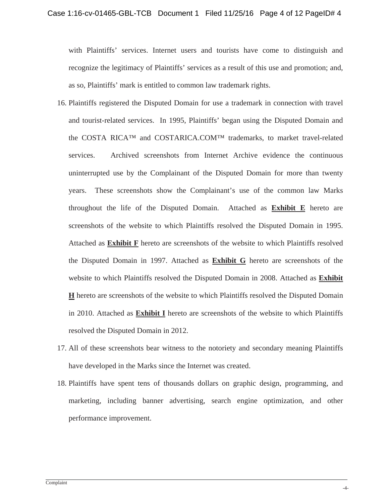with Plaintiffs' services. Internet users and tourists have come to distinguish and recognize the legitimacy of Plaintiffs' services as a result of this use and promotion; and, as so, Plaintiffs' mark is entitled to common law trademark rights.

- 16. Plaintiffs registered the Disputed Domain for use a trademark in connection with travel and tourist-related services. In 1995, Plaintiffs' began using the Disputed Domain and the COSTA RICA™ and COSTARICA.COM™ trademarks, to market travel-related services. Archived screenshots from Internet Archive evidence the continuous uninterrupted use by the Complainant of the Disputed Domain for more than twenty years. These screenshots show the Complainant's use of the common law Marks throughout the life of the Disputed Domain. Attached as **Exhibit E** hereto are screenshots of the website to which Plaintiffs resolved the Disputed Domain in 1995. Attached as **Exhibit F** hereto are screenshots of the website to which Plaintiffs resolved the Disputed Domain in 1997. Attached as **Exhibit G** hereto are screenshots of the website to which Plaintiffs resolved the Disputed Domain in 2008. Attached as **Exhibit H** hereto are screenshots of the website to which Plaintiffs resolved the Disputed Domain in 2010. Attached as **Exhibit I** hereto are screenshots of the website to which Plaintiffs resolved the Disputed Domain in 2012.
- 17. All of these screenshots bear witness to the notoriety and secondary meaning Plaintiffs have developed in the Marks since the Internet was created.
- 18. Plaintiffs have spent tens of thousands dollars on graphic design, programming, and marketing, including banner advertising, search engine optimization, and other performance improvement.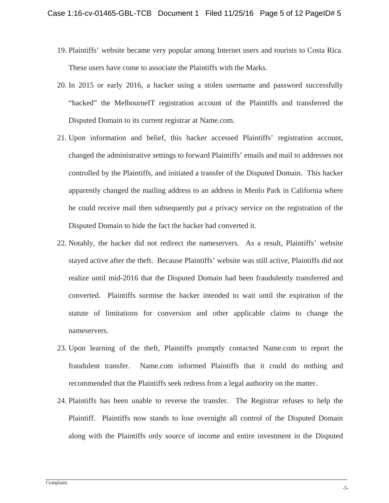- 19. Plaintiffs' website became very popular among Internet users and tourists to Costa Rica. These users have come to associate the Plaintiffs with the Marks.
- 20. In 2015 or early 2016, a hacker using a stolen username and password successfully "hacked" the MelbourneIT registration account of the Plaintiffs and transferred the Disputed Domain to its current registrar at Name.com.
- 21. Upon information and belief, this hacker accessed Plaintiffs' registration account, changed the administrative settings to forward Plaintiffs' emails and mail to addresses not controlled by the Plaintiffs, and initiated a transfer of the Disputed Domain. This hacker apparently changed the mailing address to an address in Menlo Park in California where he could receive mail then subsequently put a privacy service on the registration of the Disputed Domain to hide the fact the hacker had converted it.
- 22. Notably, the hacker did not redirect the nameservers. As a result, Plaintiffs' website stayed active after the theft. Because Plaintiffs' website was still active, Plaintiffs did not realize until mid-2016 that the Disputed Domain had been fraudulently transferred and converted. Plaintiffs surmise the hacker intended to wait until the expiration of the statute of limitations for conversion and other applicable claims to change the nameservers.
- 23. Upon learning of the theft, Plaintiffs promptly contacted Name.com to report the fraudulent transfer. Name.com informed Plaintiffs that it could do nothing and recommended that the Plaintiffs seek redress from a legal authority on the matter.
- 24. Plaintiffs has been unable to reverse the transfer. The Registrar refuses to help the Plaintiff. Plaintiffs now stands to lose overnight all control of the Disputed Domain along with the Plaintiffs only source of income and entire investment in the Disputed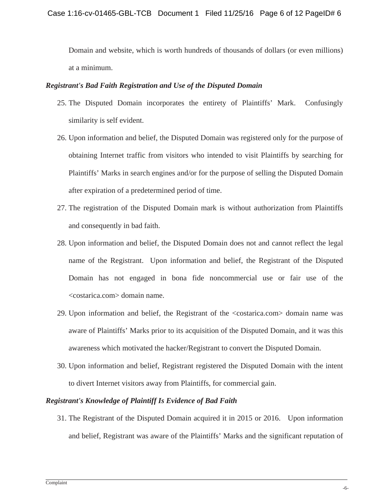Domain and website, which is worth hundreds of thousands of dollars (or even millions) at a minimum.

#### *Registrant's Bad Faith Registration and Use of the Disputed Domain*

- 25. The Disputed Domain incorporates the entirety of Plaintiffs' Mark. Confusingly similarity is self evident.
- 26. Upon information and belief, the Disputed Domain was registered only for the purpose of obtaining Internet traffic from visitors who intended to visit Plaintiffs by searching for Plaintiffs' Marks in search engines and/or for the purpose of selling the Disputed Domain after expiration of a predetermined period of time.
- 27. The registration of the Disputed Domain mark is without authorization from Plaintiffs and consequently in bad faith.
- 28. Upon information and belief, the Disputed Domain does not and cannot reflect the legal name of the Registrant. Upon information and belief, the Registrant of the Disputed Domain has not engaged in bona fide noncommercial use or fair use of the <costarica.com> domain name.
- 29. Upon information and belief, the Registrant of the <costarica.com> domain name was aware of Plaintiffs' Marks prior to its acquisition of the Disputed Domain, and it was this awareness which motivated the hacker/Registrant to convert the Disputed Domain.
- 30. Upon information and belief, Registrant registered the Disputed Domain with the intent to divert Internet visitors away from Plaintiffs, for commercial gain.

### *Registrant's Knowledge of Plaintiff Is Evidence of Bad Faith*

31. The Registrant of the Disputed Domain acquired it in 2015 or 2016. Upon information and belief, Registrant was aware of the Plaintiffs' Marks and the significant reputation of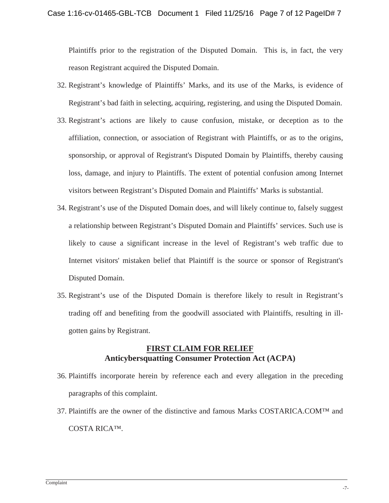Plaintiffs prior to the registration of the Disputed Domain. This is, in fact, the very reason Registrant acquired the Disputed Domain.

- 32. Registrant's knowledge of Plaintiffs' Marks, and its use of the Marks, is evidence of Registrant's bad faith in selecting, acquiring, registering, and using the Disputed Domain.
- 33. Registrant's actions are likely to cause confusion, mistake, or deception as to the affiliation, connection, or association of Registrant with Plaintiffs, or as to the origins, sponsorship, or approval of Registrant's Disputed Domain by Plaintiffs, thereby causing loss, damage, and injury to Plaintiffs. The extent of potential confusion among Internet visitors between Registrant's Disputed Domain and Plaintiffs' Marks is substantial.
- 34. Registrant's use of the Disputed Domain does, and will likely continue to, falsely suggest a relationship between Registrant's Disputed Domain and Plaintiffs' services. Such use is likely to cause a significant increase in the level of Registrant's web traffic due to Internet visitors' mistaken belief that Plaintiff is the source or sponsor of Registrant's Disputed Domain.
- 35. Registrant's use of the Disputed Domain is therefore likely to result in Registrant's trading off and benefiting from the goodwill associated with Plaintiffs, resulting in illgotten gains by Registrant.

## **FIRST CLAIM FOR RELIEF Anticybersquatting Consumer Protection Act (ACPA)**

- 36. Plaintiffs incorporate herein by reference each and every allegation in the preceding paragraphs of this complaint.
- 37. Plaintiffs are the owner of the distinctive and famous Marks COSTARICA.COM™ and COSTA RICA™.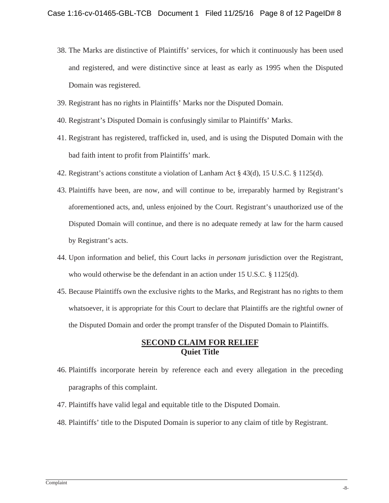- 38. The Marks are distinctive of Plaintiffs' services, for which it continuously has been used and registered, and were distinctive since at least as early as 1995 when the Disputed Domain was registered.
- 39. Registrant has no rights in Plaintiffs' Marks nor the Disputed Domain.
- 40. Registrant's Disputed Domain is confusingly similar to Plaintiffs' Marks.
- 41. Registrant has registered, trafficked in, used, and is using the Disputed Domain with the bad faith intent to profit from Plaintiffs' mark.
- 42. Registrant's actions constitute a violation of Lanham Act § 43(d), 15 U.S.C. § 1125(d).
- 43. Plaintiffs have been, are now, and will continue to be, irreparably harmed by Registrant's aforementioned acts, and, unless enjoined by the Court. Registrant's unauthorized use of the Disputed Domain will continue, and there is no adequate remedy at law for the harm caused by Registrant's acts.
- 44. Upon information and belief, this Court lacks *in personam* jurisdiction over the Registrant, who would otherwise be the defendant in an action under 15 U.S.C. § 1125(d).
- 45. Because Plaintiffs own the exclusive rights to the Marks, and Registrant has no rights to them whatsoever, it is appropriate for this Court to declare that Plaintiffs are the rightful owner of the Disputed Domain and order the prompt transfer of the Disputed Domain to Plaintiffs.

### **SECOND CLAIM FOR RELIEF Quiet Title**

- 46. Plaintiffs incorporate herein by reference each and every allegation in the preceding paragraphs of this complaint.
- 47. Plaintiffs have valid legal and equitable title to the Disputed Domain.
- 48. Plaintiffs' title to the Disputed Domain is superior to any claim of title by Registrant.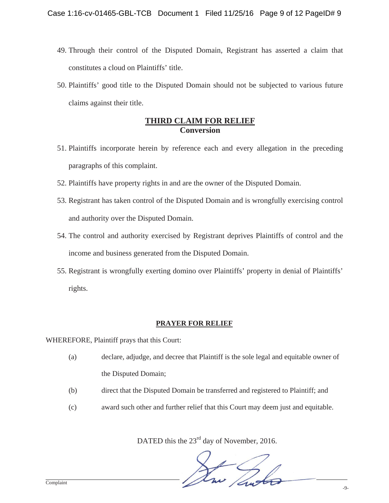- 49. Through their control of the Disputed Domain, Registrant has asserted a claim that constitutes a cloud on Plaintiffs' title.
- 50. Plaintiffs' good title to the Disputed Domain should not be subjected to various future claims against their title.

## **THIRD CLAIM FOR RELIEF Conversion**

- 51. Plaintiffs incorporate herein by reference each and every allegation in the preceding paragraphs of this complaint.
- 52. Plaintiffs have property rights in and are the owner of the Disputed Domain.
- 53. Registrant has taken control of the Disputed Domain and is wrongfully exercising control and authority over the Disputed Domain.
- 54. The control and authority exercised by Registrant deprives Plaintiffs of control and the income and business generated from the Disputed Domain.
- 55. Registrant is wrongfully exerting domino over Plaintiffs' property in denial of Plaintiffs' rights.

### **PRAYER FOR RELIEF**

WHEREFORE, Plaintiff prays that this Court:

- (a) declare, adjudge, and decree that Plaintiff is the sole legal and equitable owner of the Disputed Domain;
- (b) direct that the Disputed Domain be transferred and registered to Plaintiff; and
- (c) award such other and further relief that this Court may deem just and equitable.

DATED this the  $23<sup>rd</sup>$  day of November, 2016.

Lui De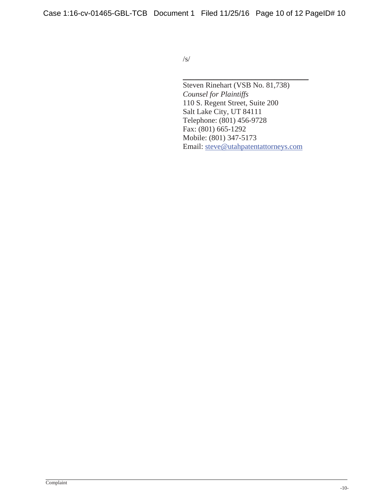Case 1:16-cv-01465-GBL-TCB Document 1 Filed 11/25/16 Page 10 of 12 PageID# 10

 $\sqrt{s}$ /

Steven Rinehart (VSB No. 81,738) *Counsel for Plaintiffs*  110 S. Regent Street, Suite 200 Salt Lake City, UT 84111 Telephone: (801) 456-9728 Fax: (801) 665-1292 Mobile: (801) 347-5173 Email: steve@utahpatentattorneys.com

\_\_\_\_\_\_\_\_\_\_\_\_\_\_\_\_\_\_\_\_\_\_\_\_\_\_\_\_\_\_\_\_\_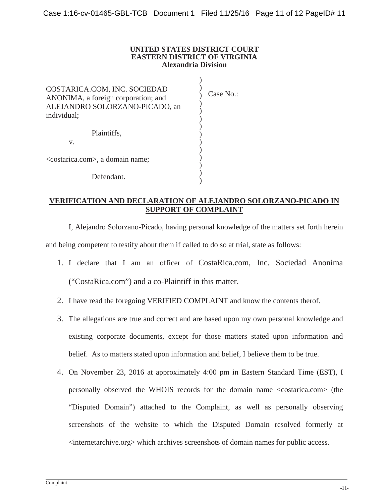#### **UNITED STATES DISTRICT COURT EASTERN DISTRICT OF VIRGINIA Alexandria Division**

) ) ) ) ) ) ) ) ) ) ) ) ) )

COSTARICA.COM, INC. SOCIEDAD ANONIMA, a foreign corporation; and ALEJANDRO SOLORZANO-PICADO, an individual;

Case No.:

Plaintiffs,

v.

<costarica.com>, a domain name;

Defendant.

#### **VERIFICATION AND DECLARATION OF ALEJANDRO SOLORZANO-PICADO IN SUPPORT OF COMPLAINT**

I, Alejandro Solorzano-Picado, having personal knowledge of the matters set forth herein and being competent to testify about them if called to do so at trial, state as follows:

- 1. I declare that I am an officer of CostaRica.com, Inc. Sociedad Anonima ("CostaRica.com") and a co-Plaintiff in this matter.
- 2. I have read the foregoing VERIFIED COMPLAINT and know the contents therof.
- 3. The allegations are true and correct and are based upon my own personal knowledge and existing corporate documents, except for those matters stated upon information and belief. As to matters stated upon information and belief, I believe them to be true.
- 4. On November 23, 2016 at approximately 4:00 pm in Eastern Standard Time (EST), I personally observed the WHOIS records for the domain name <costarica.com> (the "Disputed Domain") attached to the Complaint, as well as personally observing screenshots of the website to which the Disputed Domain resolved formerly at <internetarchive.org> which archives screenshots of domain names for public access.